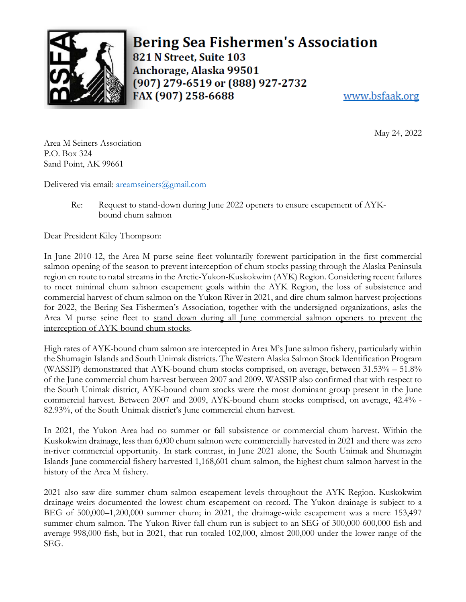

**Bering Sea Fishermen's Association** 821 N Street, Suite 103 Anchorage, Alaska 99501 (907) 279-6519 or (888) 927-2732 FAX (907) 258-6688 www.bsfaak.org

May 24, 2022

Area M Seiners Association P.O. Box 324 Sand Point, AK 99661

Delivered via email: [areamseiners@gmail.com](mailto:areamseiners@gmail.com) 

Re: Request to stand-down during June 2022 openers to ensure escapement of AYKbound chum salmon

Dear President Kiley Thompson:

In June 2010-12, the Area M purse seine fleet voluntarily forewent participation in the first commercial salmon opening of the season to prevent interception of chum stocks passing through the Alaska Peninsula region en route to natal streams in the Arctic-Yukon-Kuskokwim (AYK) Region. Considering recent failures to meet minimal chum salmon escapement goals within the AYK Region, the loss of subsistence and commercial harvest of chum salmon on the Yukon River in 2021, and dire chum salmon harvest projections for 2022, the Bering Sea Fishermen's Association, together with the undersigned organizations, asks the Area M purse seine fleet to stand down during all June commercial salmon openers to prevent the interception of AYK-bound chum stocks.

High rates of AYK-bound chum salmon are intercepted in Area M's June salmon fishery, particularly within the Shumagin Islands and South Unimak districts. The Western Alaska Salmon Stock Identification Program (WASSIP) demonstrated that AYK-bound chum stocks comprised, on average, between 31.53% – 51.8% of the June commercial chum harvest between 2007 and 2009. WASSIP also confirmed that with respect to the South Unimak district, AYK-bound chum stocks were the most dominant group present in the June commercial harvest. Between 2007 and 2009, AYK-bound chum stocks comprised, on average, 42.4% - 82.93%, of the South Unimak district's June commercial chum harvest.

In 2021, the Yukon Area had no summer or fall subsistence or commercial chum harvest. Within the Kuskokwim drainage, less than 6,000 chum salmon were commercially harvested in 2021 and there was zero in-river commercial opportunity. In stark contrast, in June 2021 alone, the South Unimak and Shumagin Islands June commercial fishery harvested 1,168,601 chum salmon, the highest chum salmon harvest in the history of the Area M fishery.

2021 also saw dire summer chum salmon escapement levels throughout the AYK Region. Kuskokwim drainage weirs documented the lowest chum escapement on record. The Yukon drainage is subject to a BEG of 500,000–1,200,000 summer chum; in 2021, the drainage-wide escapement was a mere 153,497 summer chum salmon. The Yukon River fall chum run is subject to an SEG of 300,000-600,000 fish and average 998,000 fish, but in 2021, that run totaled 102,000, almost 200,000 under the lower range of the SEG.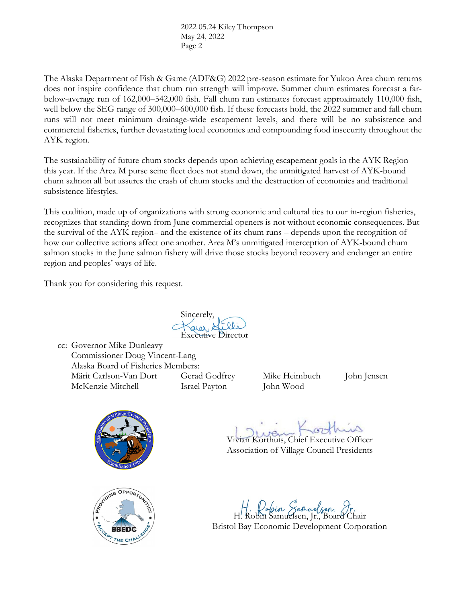2022 05.24 Kiley Thompson May 24, 2022 Page 2

The Alaska Department of Fish & Game (ADF&G) 2022 pre-season estimate for Yukon Area chum returns does not inspire confidence that chum run strength will improve. Summer chum estimates forecast a farbelow-average run of 162,000–542,000 fish. Fall chum run estimates forecast approximately 110,000 fish, well below the SEG range of 300,000–600,000 fish. If these forecasts hold, the 2022 summer and fall chum runs will not meet minimum drainage-wide escapement levels, and there will be no subsistence and commercial fisheries, further devastating local economies and compounding food insecurity throughout the AYK region.

The sustainability of future chum stocks depends upon achieving escapement goals in the AYK Region this year. If the Area M purse seine fleet does not stand down, the unmitigated harvest of AYK-bound chum salmon all but assures the crash of chum stocks and the destruction of economies and traditional subsistence lifestyles.

This coalition, made up of organizations with strong economic and cultural ties to our in-region fisheries, recognizes that standing down from June commercial openers is not without economic consequences. But the survival of the AYK region– and the existence of its chum runs – depends upon the recognition of how our collective actions affect one another. Area M's unmitigated interception of AYK-bound chum salmon stocks in the June salmon fishery will drive those stocks beyond recovery and endanger an entire region and peoples' ways of life.

Thank you for considering this request.

Sincerely, Executive Director

cc: Governor Mike Dunleavy Commissioner Doug Vincent-Lang Alaska Board of Fisheries Members: Märit Carlson-Van Dort Gerad Godfrey Mike Heimbuch John Jensen McKenzie Mitchell Israel Payton John Wood





 $(57 - 1)$ 

Vivian Korthuis, Chief Executive Officer Association of Village Council Presidents

H. Robin Samuelsen, Jr., Board Chair

Bristol Bay Economic Development Corporation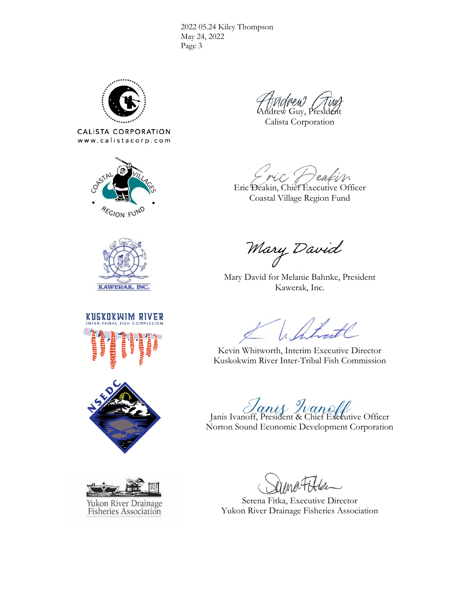2022 05.24 Kiley Thompson May 24, 2022 Page 3



CALISTA CORPORATION www.calistacorp.com



Andrew Guy, President

Calista Corporation

eas

Eric Deakin, Chief Executive Officer Coastal Village Region Fund



KUSKOKWIM RIVER





Mary David

Mary David for Melanie Bahnke, President Kawerak, Inc.

Whitrate

Kevin Whitworth, Interim Executive Director Kuskokwim River Inter-Tribal Fish Commission

Janis Ivanoff, President & Chief Executive Officer

Norton Sound Economic Development Corporation

Serena Fitka, Executive Director Yukon River Drainage Fisheries Association